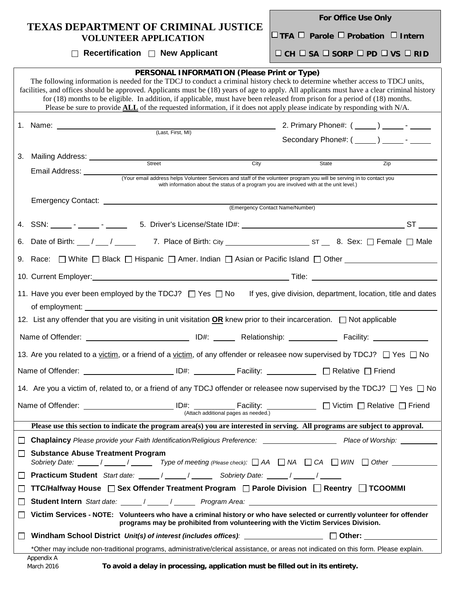| <b>TEXAS DEPARTMENT OF CRIMINAL JUSTICE</b><br><b>VOLUNTEER APPLICATION</b> | <b>For Office Use Only</b>                                     |  |  |
|-----------------------------------------------------------------------------|----------------------------------------------------------------|--|--|
|                                                                             | $\Box$ TFA $\Box$ Parole $\Box$ Probation $\Box$ Intern        |  |  |
| $\Box$ Recertification $\Box$ New Applicant                                 | $\Box$ CH $\Box$ SA $\Box$ SORP $\Box$ PD $\Box$ VS $\Box$ RID |  |  |
|                                                                             |                                                                |  |  |

п

| PERSONAL INFORMATION (Please Print or Type)<br>The following information is needed for the TDCJ to conduct a criminal history check to determine whether access to TDCJ units,<br>facilities, and offices should be approved. Applicants must be (18) years of age to apply. All applicants must have a clear criminal history<br>for $(18)$ months to be eligible. In addition, if applicable, must have been released from prison for a period of $(18)$ months.<br>Please be sure to provide $ALL$ of the requested information, if it does not apply please indicate by responding with $N/A$ . |                                                                                                                                                                                                                                                                                                |      |                                 |                                                  |  |  |  |  |
|-----------------------------------------------------------------------------------------------------------------------------------------------------------------------------------------------------------------------------------------------------------------------------------------------------------------------------------------------------------------------------------------------------------------------------------------------------------------------------------------------------------------------------------------------------------------------------------------------------|------------------------------------------------------------------------------------------------------------------------------------------------------------------------------------------------------------------------------------------------------------------------------------------------|------|---------------------------------|--------------------------------------------------|--|--|--|--|
|                                                                                                                                                                                                                                                                                                                                                                                                                                                                                                                                                                                                     |                                                                                                                                                                                                                                                                                                |      |                                 |                                                  |  |  |  |  |
|                                                                                                                                                                                                                                                                                                                                                                                                                                                                                                                                                                                                     |                                                                                                                                                                                                                                                                                                |      |                                 | Secondary Phone#: $(\_\_\_\_) \_\_\_$ - ________ |  |  |  |  |
|                                                                                                                                                                                                                                                                                                                                                                                                                                                                                                                                                                                                     |                                                                                                                                                                                                                                                                                                |      |                                 |                                                  |  |  |  |  |
| 3.                                                                                                                                                                                                                                                                                                                                                                                                                                                                                                                                                                                                  | Mailing Address: ____________<br>Street                                                                                                                                                                                                                                                        | City | State                           | Zip                                              |  |  |  |  |
|                                                                                                                                                                                                                                                                                                                                                                                                                                                                                                                                                                                                     | Email Address: ________<br>(Your email address helps Volunteer Services and staff of the volunteer program you will be serving in to contact you                                                                                                                                               |      |                                 |                                                  |  |  |  |  |
|                                                                                                                                                                                                                                                                                                                                                                                                                                                                                                                                                                                                     | with information about the status of a program you are involved with at the unit level.)                                                                                                                                                                                                       |      |                                 |                                                  |  |  |  |  |
|                                                                                                                                                                                                                                                                                                                                                                                                                                                                                                                                                                                                     | Emergency Contact: National Contract Control of Contract Control Control Control Control Control Control Control Control Control Control Control Control Control Control Control Control Control Control Control Control Contr                                                                 |      | (Emergency Contact Name/Number) |                                                  |  |  |  |  |
|                                                                                                                                                                                                                                                                                                                                                                                                                                                                                                                                                                                                     |                                                                                                                                                                                                                                                                                                |      |                                 |                                                  |  |  |  |  |
|                                                                                                                                                                                                                                                                                                                                                                                                                                                                                                                                                                                                     |                                                                                                                                                                                                                                                                                                |      |                                 |                                                  |  |  |  |  |
|                                                                                                                                                                                                                                                                                                                                                                                                                                                                                                                                                                                                     | 9. Race: □ White □ Black □ Hispanic □ Amer. Indian □ Asian or Pacific Island □ Other ______________                                                                                                                                                                                            |      |                                 |                                                  |  |  |  |  |
|                                                                                                                                                                                                                                                                                                                                                                                                                                                                                                                                                                                                     |                                                                                                                                                                                                                                                                                                |      |                                 |                                                  |  |  |  |  |
|                                                                                                                                                                                                                                                                                                                                                                                                                                                                                                                                                                                                     | 11. Have you ever been employed by the TDCJ? □ Yes □ No If yes, give division, department, location, title and dates                                                                                                                                                                           |      |                                 |                                                  |  |  |  |  |
|                                                                                                                                                                                                                                                                                                                                                                                                                                                                                                                                                                                                     | 12. List any offender that you are visiting in unit visitation OR knew prior to their incarceration. $\Box$ Not applicable                                                                                                                                                                     |      |                                 |                                                  |  |  |  |  |
|                                                                                                                                                                                                                                                                                                                                                                                                                                                                                                                                                                                                     |                                                                                                                                                                                                                                                                                                |      |                                 |                                                  |  |  |  |  |
|                                                                                                                                                                                                                                                                                                                                                                                                                                                                                                                                                                                                     | 13. Are you related to a <u>victim</u> , or a friend of a <u>victim,</u> of any offender or releasee now supervised by TDCJ? □ Yes □ No                                                                                                                                                        |      |                                 |                                                  |  |  |  |  |
|                                                                                                                                                                                                                                                                                                                                                                                                                                                                                                                                                                                                     |                                                                                                                                                                                                                                                                                                |      |                                 |                                                  |  |  |  |  |
|                                                                                                                                                                                                                                                                                                                                                                                                                                                                                                                                                                                                     | 14. Are you a victim of, related to, or a friend of any TDCJ offender or releasee now supervised by the TDCJ? □ Yes □ No                                                                                                                                                                       |      |                                 |                                                  |  |  |  |  |
|                                                                                                                                                                                                                                                                                                                                                                                                                                                                                                                                                                                                     | Name of Offender:<br><u>DH: Cacility:</u> Come Direction Direction Direction Direction Direction Direction Direction Direction Direction Direction Direction Direction Direction Direction Direction Direction Direction Direction Direction Direction<br>(Attach additional pages as needed.) |      |                                 |                                                  |  |  |  |  |
|                                                                                                                                                                                                                                                                                                                                                                                                                                                                                                                                                                                                     | Please use this section to indicate the program area(s) you are interested in serving. All programs are subject to approval.                                                                                                                                                                   |      |                                 |                                                  |  |  |  |  |
| $\Box$                                                                                                                                                                                                                                                                                                                                                                                                                                                                                                                                                                                              |                                                                                                                                                                                                                                                                                                |      |                                 |                                                  |  |  |  |  |
| ⊔                                                                                                                                                                                                                                                                                                                                                                                                                                                                                                                                                                                                   | <b>Substance Abuse Treatment Program</b>                                                                                                                                                                                                                                                       |      |                                 |                                                  |  |  |  |  |
| $\Box$                                                                                                                                                                                                                                                                                                                                                                                                                                                                                                                                                                                              | Practicum Student Start date: _____/ _____/ ______ Sobriety Date: _____/ _____/                                                                                                                                                                                                                |      |                                 |                                                  |  |  |  |  |
| ΙI                                                                                                                                                                                                                                                                                                                                                                                                                                                                                                                                                                                                  | <b>TTC/Halfway House</b> $\Box$ Sex Offender Treatment Program $\Box$ Parole Division $\Box$ Reentry $\Box$ TCOOMMI                                                                                                                                                                            |      |                                 |                                                  |  |  |  |  |
| LI                                                                                                                                                                                                                                                                                                                                                                                                                                                                                                                                                                                                  |                                                                                                                                                                                                                                                                                                |      |                                 |                                                  |  |  |  |  |
| ΙI                                                                                                                                                                                                                                                                                                                                                                                                                                                                                                                                                                                                  | Victim Services - NOTE: Volunteers who have a criminal history or who have selected or currently volunteer for offender<br>programs may be prohibited from volunteering with the Victim Services Division.                                                                                     |      |                                 |                                                  |  |  |  |  |
|                                                                                                                                                                                                                                                                                                                                                                                                                                                                                                                                                                                                     | Windham School District Unit(s) of interest (includes offices): $\Box$ Other: $\Box$ Other:                                                                                                                                                                                                    |      |                                 |                                                  |  |  |  |  |
|                                                                                                                                                                                                                                                                                                                                                                                                                                                                                                                                                                                                     | *Other may include non-traditional programs, administrative/clerical assistance, or areas not indicated on this form. Please explain.<br>Appendix A                                                                                                                                            |      |                                 |                                                  |  |  |  |  |